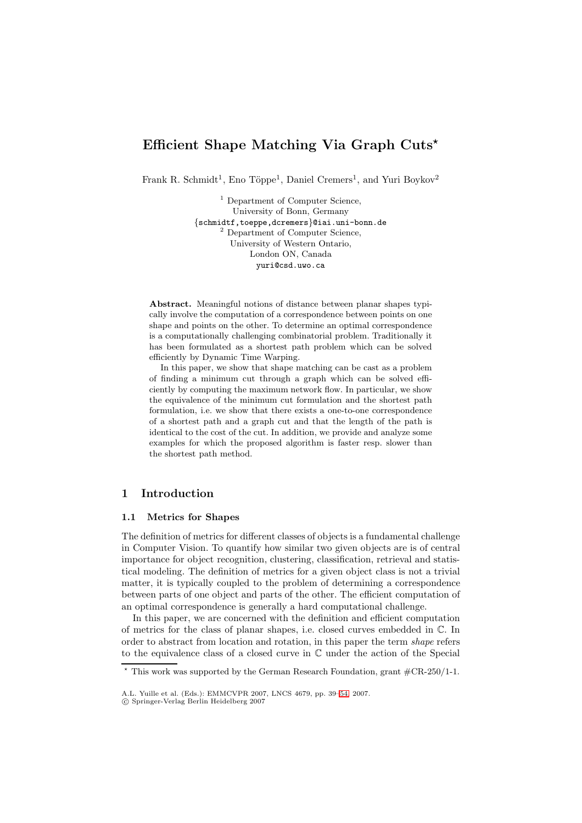# **Efficient Shape Matching Via Graph Cuts***-*

Frank R. Schmidt<sup>1</sup>, Eno Töppe<sup>1</sup>, Daniel Cremers<sup>1</sup>, and Yuri Boykov<sup>2</sup>

<sup>1</sup> Department of Computer Science, University of Bonn, Germany {schmidtf,toeppe,dcremers}@iai.uni-bonn.de <sup>2</sup> Department of Computer Science, University of Western Ontario, London ON, Canada yuri@csd.uwo.ca

**Abstract.** Meaningful notions of distance between planar shapes typically involve the computation of a correspondence between points on one shape and points on the other. To determine an optimal correspondence is a computationally challenging combinatorial problem. Traditionally it has been formulated as a shortest path problem which can be solved efficiently by Dynamic Time Warping.

In this paper, we show that shape matching can be cast as a problem of finding a minimum cut through a graph which can be solved efficiently by computing the maximum network flow. In particular, we show the equivalence of the minimum cut formulation and the shortest path formulation, i.e. we show that there exists a one-to-one correspondence of a shortest path and a graph cut and that the length of the path is identical to the cost of the cut. In addition, we provide and analyze some examples for which the proposed algorithm is faster resp. slower than the shortest path method.

# **1 Introduction**

## **1.1 Metrics for Shapes**

The definition of metrics for different classes of objects is a fundamental challenge in Computer Vision. To quantify how similar two given objects are is of central importance for object recognition, clustering, classification, retrieval and statistical modeling. The definition of metrics for a given object class is not a trivial matter, it is typically coupled to the problem of determining a correspondence between parts of one object and parts of the other. The efficient computation of an optimal correspondence is generally a hard computational challenge.

In this paper, we are concerned with the definition and efficient computation of metrics for the class of planar shapes, i.e. closed curves embedded in C. In order to abstract from location and rotation, in this paper the term shape refers to the equivalence class of a closed curve in C under the action of the Special

 $*$  This work was supported by the German Research Foundation, grant  $\text{\#CR-250/1-1.}$ 

A.L. Yuille et al. (Eds.): EMMCVPR 2007, LNCS 4679, pp. 39–54, 2007.

<sup>-</sup>c Springer-Verlag Berlin Heidelberg 2007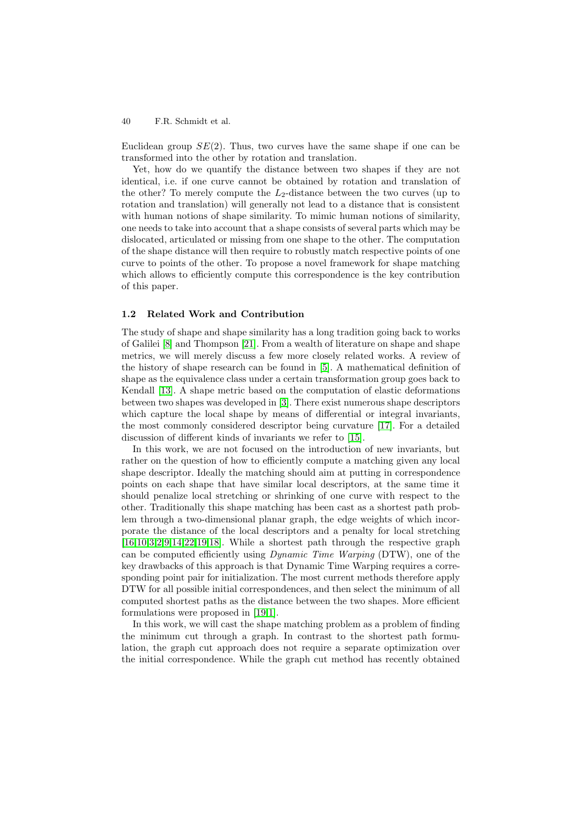#### 40 F.R. Schmidt et al.

Euclidean group  $SE(2)$ . Thus, two curves have the same shape if one can be transformed into the other by rotation and translation.

Yet, how do we quantify the distance between two shapes if they are not identical, i.e. if one curve cannot be obtained by rotation and translation of the other? To merely compute the  $L_2$ -distance between the two curves (up to rotation and translation) will generally not lead to a distance that is consistent with human notions of shape similarity. To mimic human notions of similarity, one needs to take into account that a shape consists of several parts which may be dislocated, articulated or missing from one shape to the other. The computation of the shape distance will then require to robustly match respective points of one curve to points of the other. To propose a novel framework for shape matching which allows to efficiently compute this correspondence is the key contribution of this paper.

#### **1.2 Related Work and Contribution**

The study of shape and shape similarity has a long tradition going back to works of Galilei [8] and Thompson [21]. From a wealth of literature on shape and shape metrics, we will merely discuss a few more closely related works. A review of the history of shape research can be found in [5]. A mathematical definition of shape as the equivalence class under a certain transformation group goes back to Kendall [[13\]](#page-14-0). A shape metri[c ba](#page-15-0)sed on the computation of elastic deformations between two shapes was developed in [3]. There exist numerous shape descriptors which capture the local shape by means of d[iff](#page-14-1)erential or integral invariants, the most commonly considered descriptor being curvature [17]. For a detailed discussio[n o](#page-15-1)f different kinds of invariants we refer to [15].

In this work, we are not focused [on](#page-14-2) the introduction of new invariants, but rather on the question of how to efficiently compute a matching given any local shape descriptor. Ideally the matching should aim at puttin[g in](#page-15-2) correspondence points on each shape that have similar local descri[ptor](#page-15-3)s, at the same time it should penalize local stretching or shrinking of one curve with respect to the other. Traditionally this shape matching has been cast as a shortest path problem through a two-dimensional planar graph, the edge weights of which incorporate the distance of the local descriptors and a penalty for local stretching [16,10,3,2,9,14,22,19,18]. While a shortest path through the respective graph can be computed efficiently using *Dynamic Time Warping* (DTW), one of the key drawbacks of this approach is that Dynamic Time Warping requires a corresponding point pair for initialization. The most current methods therefore apply [DT](#page-15-4)[W](#page-14-3) [fo](#page-14-2)[r](#page-14-4) [al](#page-14-5)[l p](#page-15-5)[oss](#page-15-6)[ible](#page-15-7) [in](#page-15-8)itial correspondences, and then select the minimum of all computed shortest paths as the distance between the two shapes. More efficient formulations were proposed in [19,1].

In this work, we will cast the shape matching problem as a problem of finding the minimum cut through a graph. In contrast to the shortest path formulation, the graph cut approach does not require a separate optimization over the initial correspondence. Wh[ile](#page-15-7) [th](#page-14-6)e graph cut method has recently obtained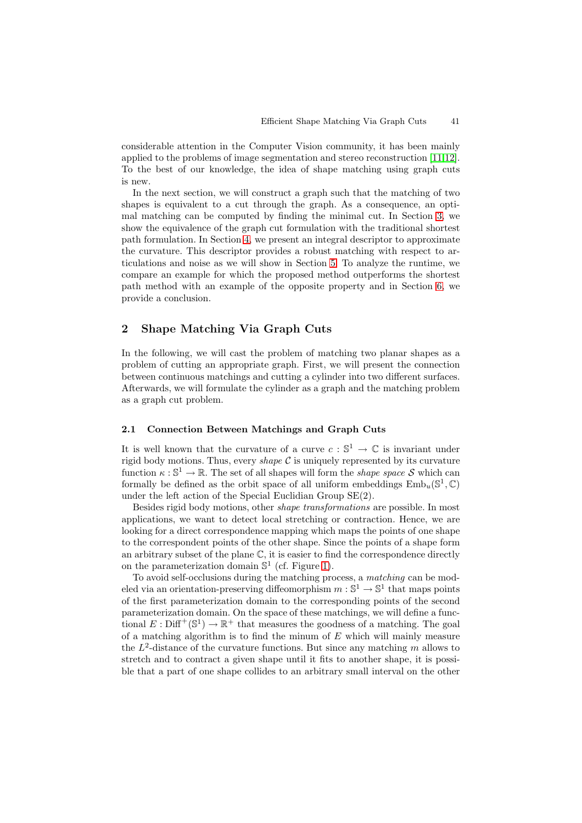considerable attention in the Computer Vision community, it has been mainly applied to the problems of image segmentation and stereo reconstruction [11,12]. To the best of our knowledge, the idea of shape matching using graph cuts is new.

In the next section, we will construct a graph such that the matching of two shapes is equivalent to a cut through the graph. As a consequence, a[n o](#page-14-7)[pti](#page-15-9)mal matching can be computed by finding the minimal cut. In Section 3, we show the equivalence of the graph cut formulation with the traditional shortest path formulation. In Section 4, we present an integral descriptor to approximate the curvature. This descriptor provides a robust matching with respect to articulations and noise as we will show in Section 5. To analyze the runti[me,](#page-7-0) we compare an example for which the proposed method outperforms the shortest path method with an exam[ple](#page-9-0) of the opposite property and in Section 6, we provide a conclusion.

# **2 Shape Matching Via Graph Cuts**

In the following, we will cast the problem of matching two planar shapes as a problem of cutting an appropriate graph. First, we will present the connection between continuous matchings and cutting a cylinder into two different surfaces. Afterwards, we will formulate the cylinder as a graph and the matching problem as a graph cut problem.

## **2.1 Connection Between Matchings and Graph Cuts**

It is well known that the curvature of a curve  $c : \mathbb{S}^1 \to \mathbb{C}$  is invariant under rigid body motions. Thus, every *shape*  $\mathcal C$  is uniquely represented by its curvature function  $\kappa : \mathbb{S}^1 \to \mathbb{R}$ . The set of all shapes will form the *shape space* S which can formally be defined as the orbit space of all uniform embeddings  $\text{Emb}_u(\mathbb{S}^1,\mathbb{C})$ under the left action of the Special Euclidian Group SE(2).

Besides rigid body motions, other shape transformations are possible. In most applications, we want to detect local stretching or contraction. Hence, we are looking for a direct correspondence mapping which maps the points of one shape to the correspondent points of the other shape. Since the points of a shape form an arbitrary subset of the plane  $\mathbb{C}$ , it is easier to find the correspondence directly on the parameterization domain  $\mathbb{S}^1$  (cf. Figure 1).

To avoid self-occlusions during the matching process, a matching can be modeled via an orientation-preserving diffeomorphism  $m : \mathbb{S}^1 \to \mathbb{S}^1$  that maps points of the first parameterization domain to the corresponding points of the second parameterization domain. On the space of these [m](#page-3-0)atchings, we will define a functional  $E: \text{Diff}^+(\mathbb{S}^1) \to \mathbb{R}^+$  that measures the goodness of a matching. The goal of a matching algorithm is to find the minum of  $E$  which will mainly measure the  $L^2$ -distance of the curvature functions. But since any matching m allows to stretch and to contract a given shape until it fits to another shape, it is possible that a part of one shape collides to an arbitrary small interval on the other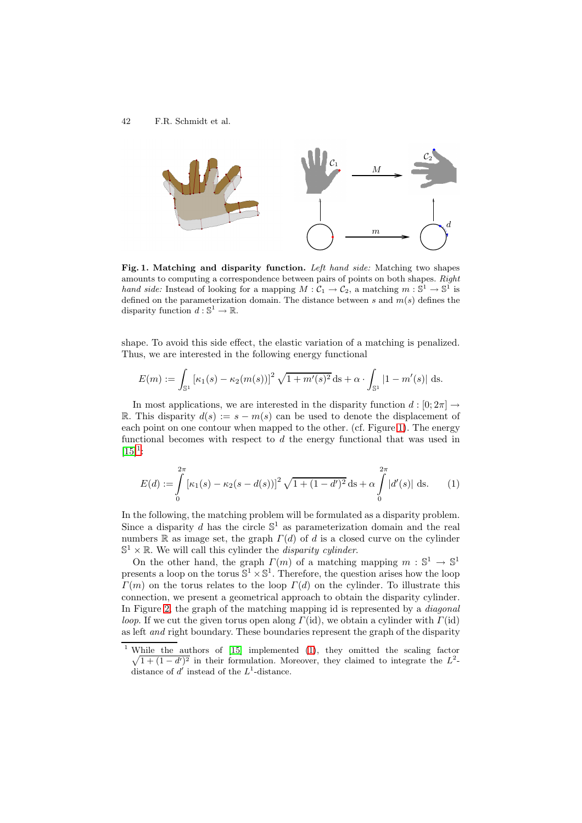

**Fig. 1. Matching and disparity function.** Left hand side: Matching two shapes amounts to computing a correspondence between pairs of points on both shapes. Right hand side: Instead of looking for a mapping  $M:\mathcal{C}_1\to\mathcal{C}_2$ , a matching  $m:\mathbb{S}^1\to\mathbb{S}^1$  is defined on the parameterization domain. The distance between  $s$  and  $m(s)$  defines the disparity function  $d : \mathbb{S}^1 \to \mathbb{R}$ .

<span id="page-3-0"></span>shape. To avoid this side effect, the elastic variation of a matching is penalized. Thus, we are interested in the following energy functional

$$
E(m) := \int_{\mathbb{S}^1} \left[ \kappa_1(s) - \kappa_2(m(s)) \right]^2 \sqrt{1 + m'(s)^2} \, ds + \alpha \cdot \int_{\mathbb{S}^1} |1 - m'(s)| \, ds.
$$

In most applications, we are interested in the disparity function  $d:[0;2\pi] \rightarrow$ R. This disparity  $d(s) := s - m(s)$  can be used to denote the displacement of each point on one contour when mapped to the other. (cf. Figure 1). The energy functional becomes with respect to  $d$  the energy functional that was used in  $[15]^{1}$ :

<span id="page-3-1"></span>
$$
E(d) := \int_{0}^{2\pi} \left[ \kappa_1(s) - \kappa_2(s - d(s)) \right]^2 \sqrt{1 + (1 - d')^2} \, ds + \alpha \int_{0}^{2\pi} |d'(s)| \, ds. \tag{1}
$$

In the following, the matching problem will be formulated as a disparity problem. Since a disparity d has the circle  $\mathbb{S}^1$  as parameterization domain and the real numbers R as image set, the graph  $\Gamma(d)$  of d is a closed curve on the cylinder  $\mathbb{S}^1 \times \mathbb{R}$ . We will call this cylinder the *disparity cylinder*.

On the other hand, the graph  $\Gamma(m)$  of a matching mapping  $m : \mathbb{S}^1 \to \mathbb{S}^1$ presents a loop on the torus  $\mathbb{S}^1 \times \mathbb{S}^1$ . Therefore, the question arises how the loop  $\Gamma(m)$  on the torus relates to the loop  $\Gamma(d)$  on the cylinder. To illustrate this connection, we present a geometrical approach to obtain the disparity cylinder. In Figure 2, the graph of the matching mapping id is represented by a *diagonal loop*. If we cut the given torus open along  $\Gamma(\text{id})$ , we obtain a cylinder with  $\Gamma(\text{id})$ as left and right boundary. These boundaries represent the graph of the disparity

<sup>&</sup>lt;sup>1</sup> While the authors of  $[15]$  implemented  $(1)$ , they omitted the scaling factor  $\sqrt{1 + (1 - d')^2}$  in their formulation. Moreover, they claimed to integrate the  $L^2$ distance of  $d'$  instead of the  $L^1$ -distance.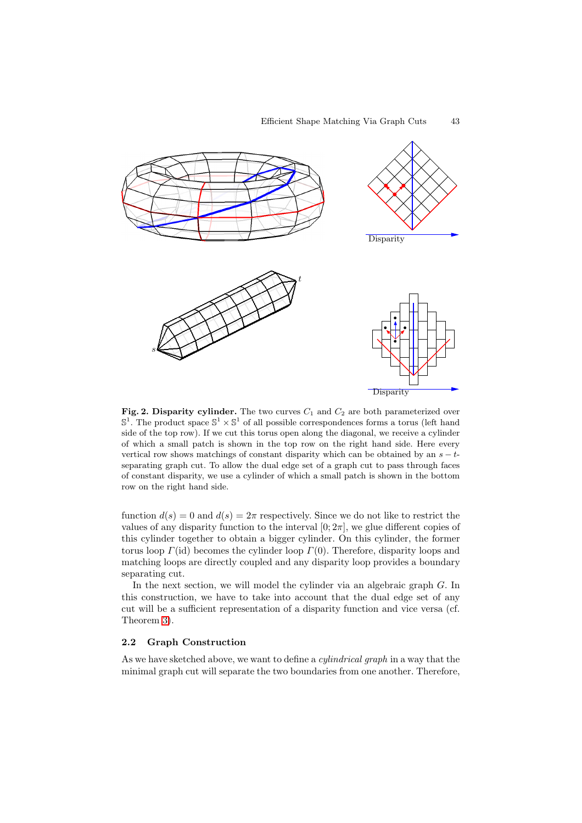

**Fig. 2. Disparity cylinder.** The two curves  $C_1$  and  $C_2$  are both parameterized over  $\mathbb{S}^1$ . The product space  $\mathbb{S}^1 \times \mathbb{S}^1$  of all possible correspondences forms a torus (left hand side of the top row). If we cut this torus open along the diagonal, we receive a cylinder of which a small patch is shown in the top row on the right hand side. Here every vertical row shows matchings of constant disparity which can be obtained by an  $s - t$ separating graph cut. To allow the dual edge set of a graph cut to pass through faces of constant disparity, we use a cylinder of which a small patch is shown in the bottom row on the right hand side.

<span id="page-4-0"></span>function  $d(s)=0$  and  $d(s)=2\pi$  respectively. Since we do not like to restrict the values of any disparity function to the interval  $[0; 2\pi]$ , we glue different copies of this cylinder together to obtain a bigger cylinder. On this cylinder, the former torus loop  $\Gamma(\text{id})$  becomes the cylinder loop  $\Gamma(0)$ . Therefore, disparity loops and matching loops are directly coupled and any disparity loop provides a boundary separating cut.

In the next section, we will model the cylinder via an algebraic graph G. In this construction, we have to take into account that the dual edge set of any cut will be a sufficient representation of a disparity function and vice versa (cf. Theorem 3).

#### **2.2 Graph Construction**

As we have sketched above, we want to define a *cylindrical graph* in a way that the minimal [gra](#page-8-0)ph cut will separate the two boundaries from one another. Therefore,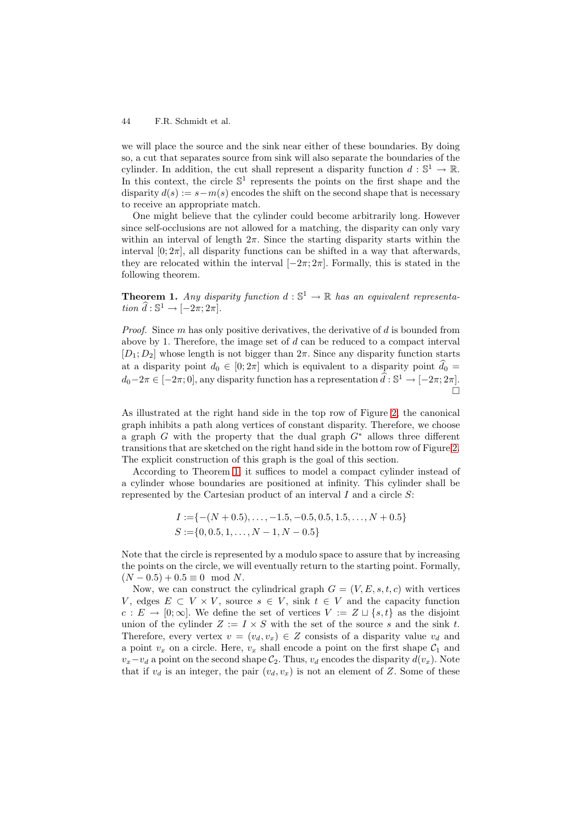#### 44 F.R. Schmidt et al.

we will place the source and the sink near either of these boundaries. By doing so, a cut that separates source from sink will also separate the boundaries of the cylinder. In addition, the cut shall represent a disparity function  $d : \mathbb{S}^1 \to \mathbb{R}$ . In this context, the circle  $\mathbb{S}^1$  represents the points on the first shape and the disparity  $d(s) := s - m(s)$  encodes the shift on the second shape that is necessary to receive an appropriate match.

One might believe that the cylinder could become arbitrarily long. However since self-occlusions are not allowed for a matching, the disparity can only vary within an interval of length  $2\pi$ . Since the starting disparity starts within the interval  $[0; 2\pi]$ , all disparity functions can be shifted in a way that afterwards, they are relocated within the interval  $[-2\pi; 2\pi]$ . Formally, this is stated in the following theorem.

**Theorem 1.** Any disparity function  $d : \mathbb{S}^1 \to \mathbb{R}$  has an equivalent representation  $\widehat{d}: \mathbb{S}^1 \to [-2\pi; 2\pi]$ .

<span id="page-5-0"></span>*Proof.* Since  $m$  has only positive derivatives, the derivative of  $d$  is bounded from above by 1. Therefore, the image set of  $d$  can be reduced to a compact interval  $[D_1; D_2]$  whose length is not bigger than  $2\pi$ . Since any disparity function starts at a disparity point  $d_0 \in [0; 2\pi]$  which is equivalent to a disparity point  $d_0 =$  $\frac{1}{2}$  $d_0-2\pi \in [-2\pi;0],$  any disparity function has a representation  $\hat{d}: \mathbb{S}^1 \to [-2\pi;2\pi]$ .  $\Box$ 

As illustrated at the right hand side in the top row of Figure 2, the canonical graph inhibits a path along vertices of constant disparity. Therefore, we choose a graph G with the property that the dual graph  $G^*$  allows three different transitions that are sketched on the right hand side in the bottom row of Figure 2. The explicit construction of this graph is the goal of this secti[on.](#page-4-0)

According to Theorem 1, it suffices to model a compact cylinder instead of a cylinder whose boundaries are positioned at infinity. This cylinder shall be represented by the Cartesian product of an interval  $I$  and a circle  $S$ :

$$
I := \{-(N+0.5), \dots, -1.5, -0.5, 0.5, 1.5, \dots, N+0.5\}
$$
  

$$
S := \{0, 0.5, 1, \dots, N-1, N-0.5\}
$$

Note that the circle is represented by a modulo space to assure that by increasing the points on the circle, we will eventually return to the starting point. Formally,  $(N - 0.5) + 0.5 \equiv 0 \mod N$ .

Now, we can construct the cylindrical graph  $G = (V, E, s, t, c)$  with vertices V, edges  $E \subset V \times V$ , source  $s \in V$ , sink  $t \in V$  and the capacity function  $c: E \to [0; \infty]$ . We define the set of vertices  $V := Z \sqcup \{s, t\}$  as the disjoint union of the cylinder  $Z := I \times S$  with the set of the source s and the sink t. Therefore, every vertex  $v = (v_d, v_x) \in Z$  consists of a disparity value  $v_d$  and a point  $v_x$  on a circle. Here,  $v_x$  shall encode a point on the first shape  $\mathcal{C}_1$  and  $v_x-v_d$  a point on the second shape  $\mathcal{C}_2$ . Thus,  $v_d$  encodes the disparity  $d(v_x)$ . Note that if  $v_d$  is an integer, the pair  $(v_d, v_x)$  is not an element of Z. Some of these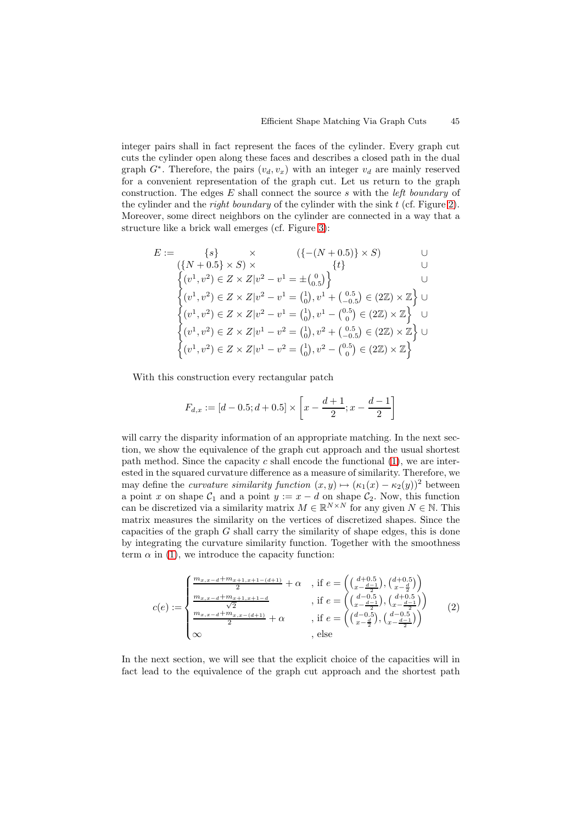integer pairs shall in fact represent the faces of the cylinder. Every graph cut cuts the cylinder open along these faces and describes a closed path in the dual graph  $G^*$ . Therefore, the pairs  $(v_d, v_x)$  with an integer  $v_d$  are mainly reserved for a convenient representation of the graph cut. Let us return to the graph construction. The edges  $E$  shall connect the source s with the *left boundary* of the cylinder and the *right boundary* of the cylinder with the sink  $t$  (cf. Figure 2). Moreover, some direct neighbors on the cylinder are connected in a way that a structure like a brick wall emerges (cf. Figure 3):

$$
E := \{s\} \times \{(- (N + 0.5) \times S) \times \{t\} \cup \{t\} \cup \{t\} \cup \{t\} \cup \{t\} \cup \{t\} \cup \{t\} \cup \{t\} \cup \{t\} \cup \{t\} \cup \{t\} \cup \{t\} \cup \{t\} \cup \{t\} \cup \{t^1, v^2 \} \in Z \times Z | v^2 - v^1 = \{0\}, v^1 + \left(\begin{matrix} 0.5 \\ -0.5 \end{matrix}\right) \in (2\mathbb{Z}) \times \mathbb{Z} \} \cup \{v^1, v^2 \} \in Z \times Z | v^2 - v^1 = \{0\}, v^1 - \left(\begin{matrix} 0.5 \\ 0.5 \end{matrix}\right) \in (2\mathbb{Z}) \times \mathbb{Z} \} \cup \{v^1, v^2 \} \in Z \times Z | v^1 - v^2 = \{0\}, v^2 + \left(\begin{matrix} 0.5 \\ -0.5 \end{matrix}\right) \in (2\mathbb{Z}) \times \mathbb{Z} \} \cup \{v^1, v^2 \} \in Z \times Z | v^1 - v^2 = \{0\}, v^2 - \left(\begin{matrix} 0.5 \\ 0 \end{matrix}\right) \in (2\mathbb{Z}) \times \mathbb{Z} \} \cup \{v^1, v^2 \} \in Z \times Z | v^1 - v^2 = \{0\}, v^2 - \left(\begin{matrix} 0.5 \\ 0 \end{matrix}\right) \in (2\mathbb{Z}) \times \mathbb{Z} \}
$$

With this construction every rectangular patch

$$
F_{d,x} := [d - 0.5; d + 0.5] \times \left[ x - \frac{d+1}{2}; x - \frac{d-1}{2} \right]
$$

will carry the disparity information of an appropriate matching. In the next section, we show the equivalence of the graph cut approach and the usual shortest path method. Since the capacity c shall encode the functional  $(1)$ , we are interested in the squared curvature difference as a measure of similarity. Therefore, we may define the *curvature similarity function*  $(x, y) \mapsto (\kappa_1(x) - \kappa_2(y))^2$  between a point x on shape  $C_1$  and a point  $y := x - d$  on shape  $C_2$ . Now, this function can be discretized via a similarity matrix  $M \in \mathbb{R}^{N \times N}$  for any gi[ve](#page-3-1)n  $N \in \mathbb{N}$ . This matrix measures the similarity on the vertices of discretized shapes. Since the capacities of the graph  $G$  shall carry the similarity of shape edges, this is done by integrating the curvature similarity function. Together with the smoothness term  $\alpha$  in (1), we introduce the capacity function:

<span id="page-6-0"></span>
$$
c(e) := \begin{cases} \frac{m_{x,x-d} + m_{x+1,x+1-(d+1)}}{2} + \alpha & , \text{ if } e = \left( \binom{d+0.5}{x - \frac{d-1}{2}}, \binom{d+0.5}{x - \frac{d}{2}} \right) \\ \frac{m_{x,x-d} + m_{x+1,x+1-d}}{\sqrt{2}} & , \text{ if } e = \left( \binom{d-0.5}{x - \frac{d-1}{2}}, \binom{d+0.5}{x - \frac{d-1}{2}} \right) \\ \frac{m_{x,x-d} + m_{x,x-(d+1)}}{2} + \alpha & , \text{ if } e = \left( \binom{d-0.5}{x - \frac{d}{2}}, \binom{d-0.5}{x - \frac{d-1}{2}} \right) \\ \infty & , \text{ else} \end{cases} (2)
$$

In the next section, we will see that the explicit choice of the capacities will in fact lead to the equivalence of the graph cut approach and the shortest path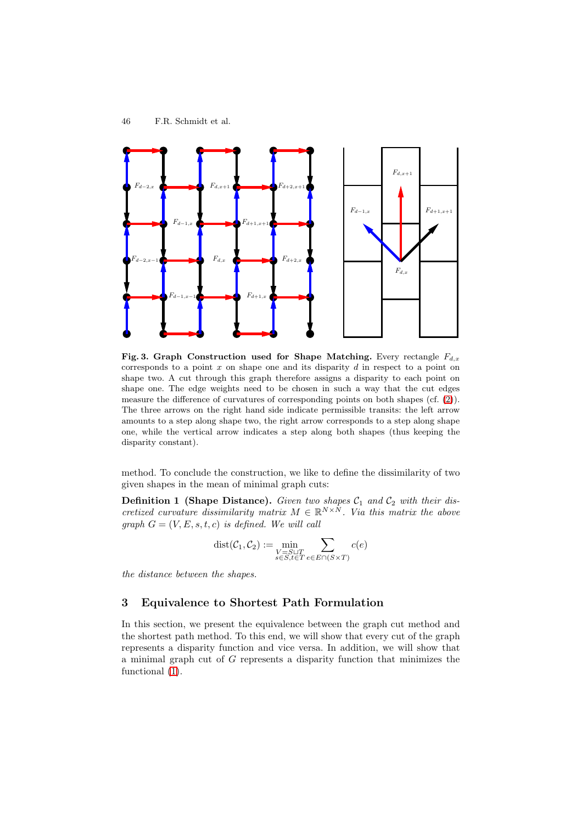

<span id="page-7-1"></span>**Fig. 3. Graph Construction used for Shape Matching.** Every rectangle  $F_{d,x}$ corresponds to a point  $x$  on shape one and its disparity  $d$  in respect to a point on shape two. A cut through this graph therefore assigns a disparity to each point on shape one. The edge weights need to be chosen in such a way that the cut edges measure the difference of curvatures of corresponding points on both shapes (cf. (2)). The three arrows on the right hand side indicate permissible transits: the left arrow amounts to a step along shape two, the right arrow corresponds to a step along shape one, while the vertical arrow indicates a step along both shapes (thus keeping the disparity constant).

method. To conclude the construction, we like to define the dissimilarity of two given shapes in the mean of minimal graph cuts:

**Definition 1 (Shape Distance).** Given two shapes  $C_1$  and  $C_2$  with their discretized curvature dissimilarity matrix  $M \in \mathbb{R}^{N \times N}$ . Via this matrix the above graph  $G = (V, E, s, t, c)$  is defined. We will call

$$
dist(\mathcal{C}_1, \mathcal{C}_2) := \min_{\substack{V = S \sqcup T \\ s \in S, t \in T}} \sum_{e \in E \cap (S \times T)} c(e)
$$

the distance between the shapes.

## **3 Equivalence to Shortest Path Formulation**

<span id="page-7-0"></span>In this section, we present the equivalence between the graph cut method and the shortest path method. To this end, we will show that every cut of the graph represents a disparity function and vice versa. In addition, we will show that a minimal graph cut of G represents a disparity function that minimizes the functional  $(1)$ .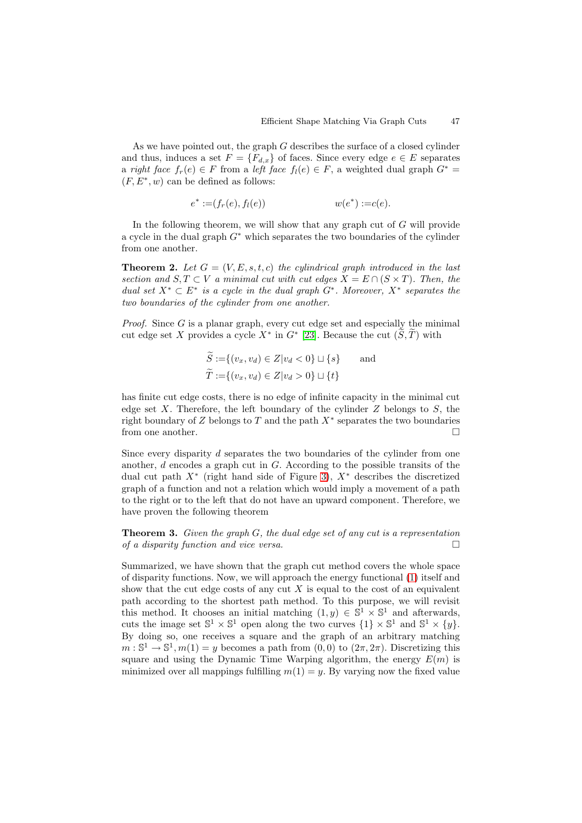As we have pointed out, the graph G describes the surface of a closed cylinder and thus, induces a set  $F = \{F_{d,x}\}\$  of faces. Since every edge  $e \in E$  separates a right face  $f_r(e) \in F$  from a left face  $f_l(e) \in F$ , a weighted dual graph  $G^* =$  $(F, E^*, w)$  can be defined as follows:

$$
e^* := (f_r(e), f_l(e)) \qquad \qquad w(e^*) := c(e).
$$

In the following theorem, we will show that any graph cut of  $G$  will provide a cycle in the dual graph  $G^*$  which separates the two boundaries of the cylinder from one another.

**Theorem 2.** Let  $G = (V, E, s, t, c)$  the cylindrical graph introduced in the last section and  $S, T \subset V$  a minimal cut with cut edges  $X = E \cap (S \times T)$ . Then, the dual set  $X^* \subset E^*$  is a cycle in the dual graph  $G^*$ . Moreover,  $X^*$  separates the two boundaries of the cylinder from one another.

*Proof.* Since  $G$  is a planar graph, every cut edge set and especially the minimal cut edge set X provides a cycle  $X^*$  in  $G^*$  [23]. Because the cut  $(S, T)$  with

$$
\widetilde{S} := \{(v_x, v_d) \in Z | v_d < 0\} \sqcup \{s\} \quad \text{and} \\
\widetilde{T} := \{(v_x, v_d) \in Z | v_d > 0\} \sqcup \{t\}
$$

has finite cut edge costs, there is no edge of infinite capacity in the minimal cut edge set X. Therefore, the left boundary of the cylinder  $Z$  belongs to  $S$ , the right boundary of Z belongs to T and the path  $X^*$  separates the two boundaries from one another.

Since every disparity d separates the two boundaries of the cylinder from one another,  $d$  encodes a graph cut in  $G$ . According to the possible transits of the dual cut path  $X^*$  (right hand side of Figure 3),  $X^*$  describes the discretized graph of a function and not a relation which would imply a movement of a path to the right or to the left that do not have an upward component. Therefore, we have proven the following theorem

**Theorem 3.** Given the graph G, the dual edge [s](#page-7-1)et of any cut is a representation of a disparity function and vice versa.  $\Box$ 

<span id="page-8-0"></span>Summarized, we have shown that the graph cut method covers the whole space of disparity functions. Now, we will approach the energy functional (1) itself and show that the cut edge costs of any cut X is equal to the cost of an equivalent path according to the shortest path method. To this purpose, we will revisit this method. It chooses an initial matching  $(1, y) \in \mathbb{S}^1 \times \mathbb{S}^1$  and afterwards, cuts the image set  $\mathbb{S}^1 \times \mathbb{S}^1$  open along the two curves  $\{1\} \times \mathbb{S}^1$  a[nd](#page-3-1)  $\mathbb{S}^1 \times \{y\}$ . By doing so, one receives a square and the graph of an arbitrary matching  $m:\mathbb{S}^1\to\mathbb{S}^1, m(1)=y$  becomes a path from  $(0,0)$  to  $(2\pi,2\pi)$ . Discretizing this square and using the Dynamic Time Warping algorithm, the energy  $E(m)$  is minimized over all mappings fulfilling  $m(1) = y$ . By varying now the fixed value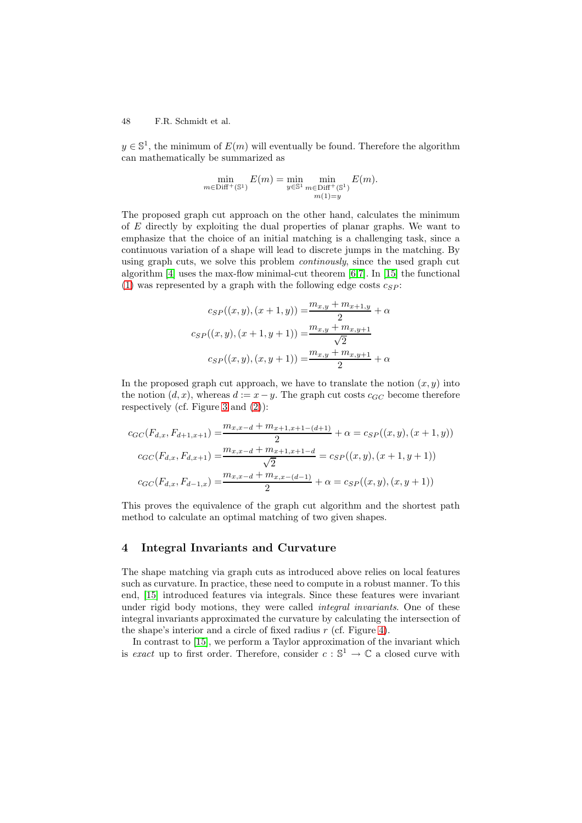#### 48 F.R. Schmidt et al.

 $y \in \mathbb{S}^1$ , the minimum of  $E(m)$  will eventually be found. Therefore the algorithm can mathematically be summarized as

$$
\min_{m \in \text{Diff}^+(\mathbb{S}^1)} E(m) = \min_{y \in \mathbb{S}^1} \min_{\substack{m \in \text{Diff}^+(\mathbb{S}^1) \\ m(1) = y}} E(m).
$$

The proposed graph cut approach on the other hand, calculates the minimum of  $E$  directly by exploiting the dual properties of planar graphs. We want to emphasize that the choice of an initial matching is a challenging task, since a continuous variation of a shape will lead to discrete jumps in the matching. By using graph cuts, we solve this problem *continously*, since the used graph cut algorithm [4] uses the max-flow minimal-cut theorem [6,7]. In [15] the functional (1) was represented by a graph with the following edge costs  $c_{SP}$ :

$$
c_{SP}((x, y), (x + 1, y)) = \frac{m_{x,y} + m_{x+1,y}}{2} + \alpha
$$
  

$$
c_{SP}((x, y), (x + 1, y + 1)) = \frac{m_{x,y} + m_{x,y+1}}{\sqrt{2}}
$$
  

$$
c_{SP}((x, y), (x, y + 1)) = \frac{m_{x,y} + m_{x,y+1}}{2} + \alpha
$$

In the proposed graph cut approach, we have to translate the notion  $(x, y)$  into the notion  $(d, x)$ , whereas  $d := x - y$ . The graph cut costs  $c_{GC}$  become therefore respectively (cf. Figure 3 and (2)):

$$
c_{GC}(F_{d,x}, F_{d+1,x+1}) = \frac{m_{x,x-d} + m_{x+1,x+1-(d+1)}}{2} + \alpha = c_{SP}((x,y),(x+1,y))
$$

$$
c_{GC}(F_{d,x}, F_{d,x+1}) = \frac{m_{x,x-d} + m_{x+1,x+1-d}}{\sqrt{2}} = c_{SP}((x,y),(x+1,y+1))
$$

$$
c_{GC}(F_{d,x}, F_{d-1,x}) = \frac{m_{x,x-d} + m_{x,x-(d-1)}}{2} + \alpha = c_{SP}((x,y),(x,y+1))
$$

This proves the equivalence of the graph cut algorithm and the shortest path method to calculate an optimal matching of two given shapes.

# **4 Integral Invariants and Curvature**

<span id="page-9-0"></span>The shape matching via graph cuts as introduced above relies on local features such as curvature. In practice, these need to compute in a robust manner. To this end, [15] introduced features via integrals. Since these features were invariant under rigid body motions, they were called *integral invariants*. One of these integral invariants approximated the curvature by calculating the intersection of the shape's interior and a circle of fixed radius  $r$  (cf. Figure 4).

In [con](#page-15-3)trast to [15], we perform a Taylor approximation of the invariant which is exact up to first order. Therefore, consider  $c : \mathbb{S}^1 \to \mathbb{C}$  a closed curve with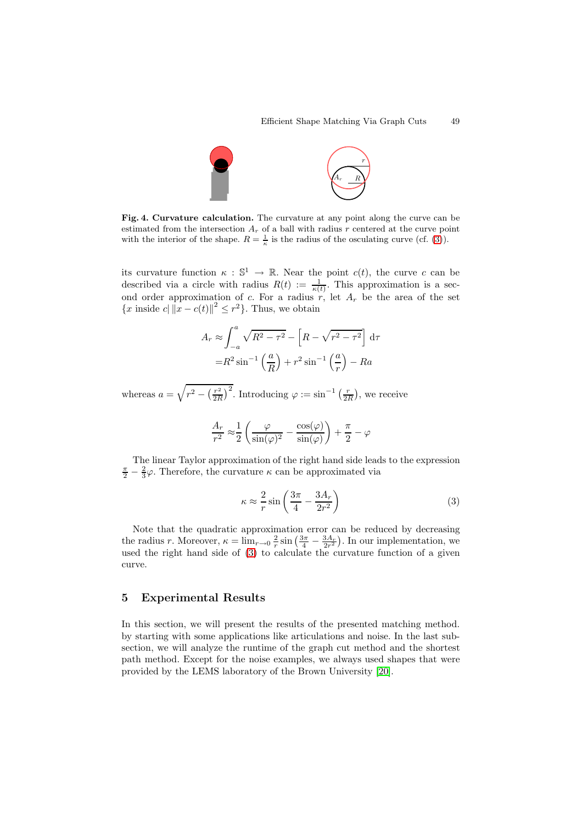

**Fig. 4. Curvature calculation.** The curvature at any point along the curve can be estimated from the intersection  $A_r$  of a ball with radius r centered at the curve point with the interior of the shape.  $R = \frac{1}{\kappa}$  is the radius of the osculating curve (cf. (3)).

its curvature function  $\kappa : \mathbb{S}^1 \to \mathbb{R}$ . Near the point  $c(t)$ , the curve c can be described via [a](#page-10-0) circle with radius  $R(t) := \frac{1}{\kappa(t)}$ . This approximation is a second order approximation of c. For a radius  $r$ , let  $A_r$  be the area of the set  ${x \text{ inside } c \mid ||x - c(t)||^2 \leq r^2}.$  Thus, we obtain

$$
A_r \approx \int_{-a}^{a} \sqrt{R^2 - \tau^2} - \left[R - \sqrt{r^2 - \tau^2}\right] d\tau
$$

$$
= R^2 \sin^{-1}\left(\frac{a}{R}\right) + r^2 \sin^{-1}\left(\frac{a}{r}\right) - Ra
$$

whereas  $a = \sqrt{r^2 - \left(\frac{r^2}{2R}\right)^2}$ . Introducing  $\varphi := \sin^{-1}\left(\frac{r}{2R}\right)$ , we receive

$$
\frac{A_r}{r^2} \approx \frac{1}{2} \left( \frac{\varphi}{\sin(\varphi)^2} - \frac{\cos(\varphi)}{\sin(\varphi)} \right) + \frac{\pi}{2} - \varphi
$$

The linear Taylor approximation of the right hand side leads to the expression  $\frac{\pi}{2} - \frac{2}{3}\varphi$ . Therefore, the curvature  $\kappa$  can be approximated via

<span id="page-10-0"></span>
$$
\kappa \approx \frac{2}{r} \sin \left( \frac{3\pi}{4} - \frac{3A_r}{2r^2} \right) \tag{3}
$$

Note that the quadratic approximation error can be reduced by decreasing the radius r. Moreover,  $\kappa = \lim_{r \to 0} \frac{2}{r} \sin\left(\frac{3\pi}{4} - \frac{3A_r}{2r^2}\right)$ . In our implementation, we used the right hand side of (3) to calculate the curvature function of a given curve.

# **5 Experimental Res[ul](#page-10-0)ts**

In this section, we will present the results of the presented matching method. by starting with some applications like articulations and noise. In the last subsection, we will analyze the runtime of the graph cut method and the shortest path method. Except for the noise examples, we always used shapes that were provided by the LEMS laboratory of the Brown University [20].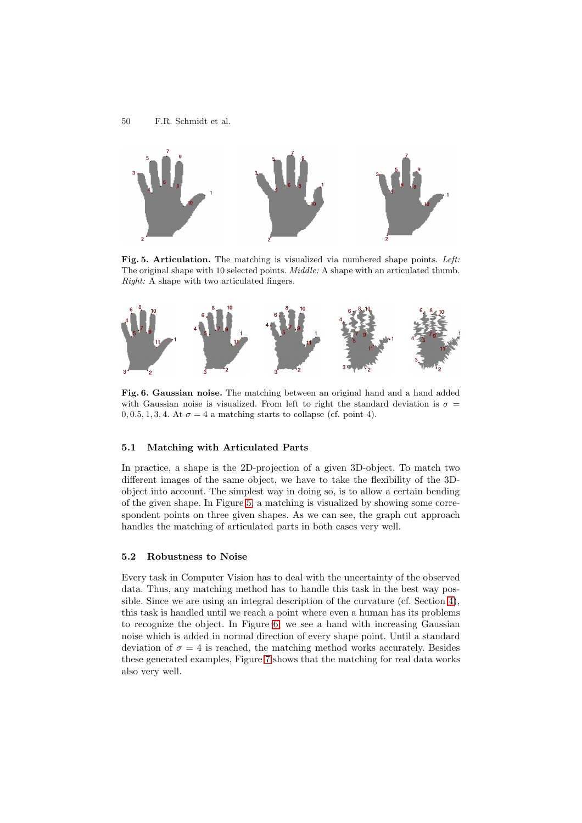

**Fig. 5. Articulation.** The matching is visualized via numbered shape points. Left: The original shape with 10 selected points. *Middle:* A shape with an articulated thumb. Right: A shape with two articulated fingers.

<span id="page-11-0"></span>

**Fig. 6. Gaussian noise.** The matching between an original hand and a hand added with Gaussian noise is visualized. From left to right the standard deviation is  $\sigma =$  $0, 0.5, 1, 3, 4$ . At  $\sigma = 4$  a matching starts to collapse (cf. point 4).

## **5.1 Matching with Articulated Parts**

In practice, a shape is the 2D-projection of a given 3D-object. To match two different images of the same object, we have to take the flexibility of the 3Dobject into account. The simplest way in doing so, is to allow a certain bending of the given shape. In Figure 5, a matching is visualized by showing some correspondent points on three given shapes. As we can see, the graph cut approach handles the matching of articulated parts in both cases very well.

#### **5.2 Robustness to Nois[e](#page-11-0)**

Every task in Computer Vision has to deal with the uncertainty of the observed data. Thus, any matching method has to handle this task in the best way possible. Since we are using an integral description of the curvature (cf. Section 4), this task is handled until we reach a point where even a human has its problems to recognize the object. In Figure 6, we see a hand with increasing Gaussian noise which is added in normal direction of every shape point. Until a standard [de](#page-9-0)viation of  $\sigma = 4$  is reached, the matching method works accurately. Besides these generated examples, Figure 7 shows that the matching for real data works also very well.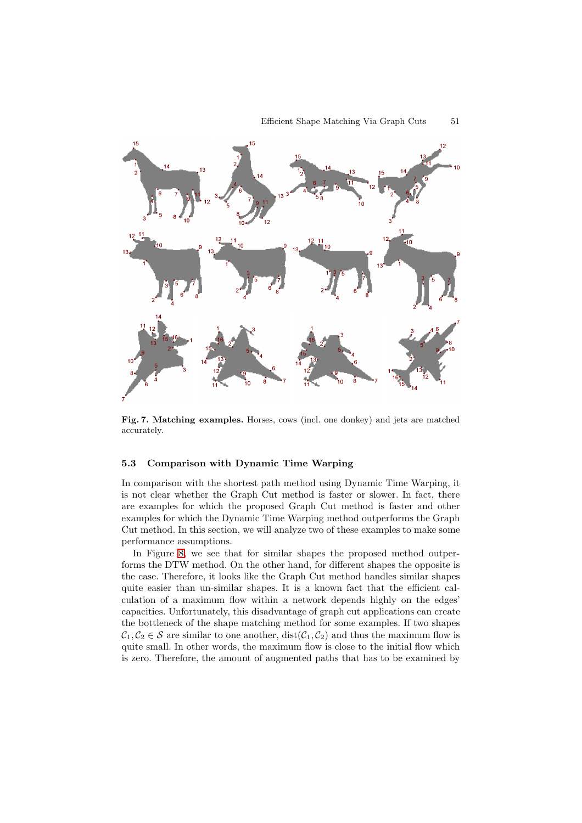

**Fig. 7. Matching examples.** Horses, cows (incl. one donkey) and jets are matched accurately.

## **5.3 Comparison with Dynamic Time Warping**

In comparison with the shortest path method using Dynamic Time Warping, it is not clear whether the Graph Cut method is faster or slower. In fact, there are examples for which the proposed Graph Cut method is faster and other examples for which the Dynamic Time Warping method outperforms the Graph Cut method. In this section, we will analyze two of these examples to make some performance assumptions.

In Figure 8, we see that for similar shapes the proposed method outperforms the DTW method. On the other hand, for different shapes the opposite is the case. Therefore, it looks like the Graph Cut method handles similar shapes quite easier than un-similar shapes. It is a known fact that the efficient calculation of a [m](#page-13-0)aximum flow within a network depends highly on the edges' capacities. Unfortunately, this disadvantage of graph cut applications can create the bottleneck of the shape matching method for some examples. If two shapes  $C_1, C_2 \in \mathcal{S}$  are similar to one another,  $dist(C_1, C_2)$  and thus the maximum flow is quite small. In other words, the maximum flow is close to the initial flow which is zero. Therefore, the amount of augmented paths that has to be examined by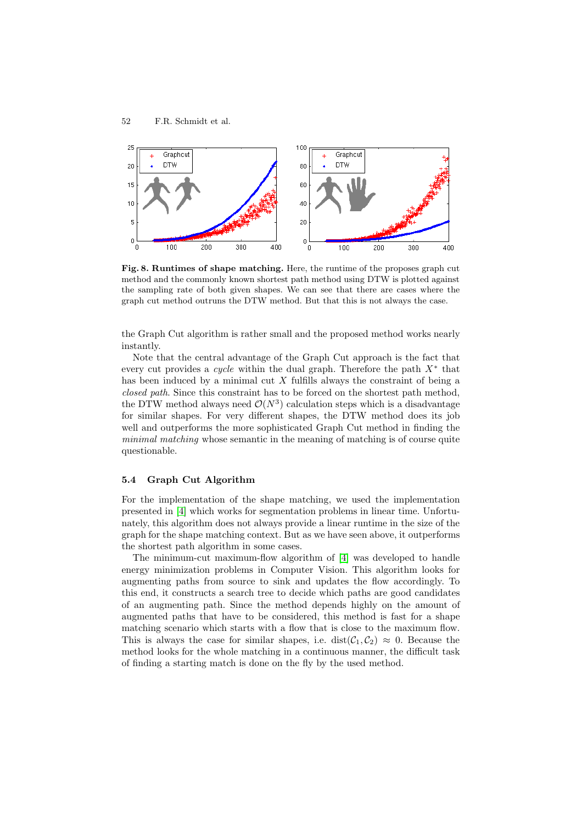

**Fig. 8. Runtimes of shape matching.** Here, the runtime of the proposes graph cut method and the commonly known shortest path method using DTW is plotted against the sampling rate of both given shapes. We can see that there are cases where the graph cut method outruns the DTW method. But that this is not always the case.

<span id="page-13-0"></span>the Graph Cut algorithm is rather small and the proposed method works nearly instantly.

Note that the central advantage of the Graph Cut approach is the fact that every cut provides a *cycle* within the dual graph. Therefore the path  $X^*$  that has been induced by a minimal cut  $X$  fulfills always the constraint of being a closed path. Since this constraint has to be forced on the shortest path method, the DTW method always need  $\mathcal{O}(N^3)$  calculation steps which is a disadvantage for similar shapes. For very different shapes, the DTW method does its job well and outperforms the more sophisticated Graph Cut method in finding the minimal matching whose semantic in the meaning of matching is of course quite questionable.

#### **5.4 Graph Cut Algorithm**

For the implementation of the shape matching, we used the implementation presented in [4] which works for segmentation problems in linear time. Unfortunately, this algorithm does not always provide a linear runtime in the size of the graph for the shape matching context. But as we have seen above, it outperforms the shortest path algorithm in some cases.

The mini[mu](#page-14-10)m-cut maximum-flow algorithm of [4] was developed to handle energy minimization problems in Computer Vision. This algorithm looks for augmenting paths from source to sink and updates the flow accordingly. To this end, it constructs a search tree to decide which paths are good candidates of an augmenting path. Since the method depen[ds](#page-14-10) highly on the amount of augmented paths that have to be considered, this method is fast for a shape matching scenario which starts with a flow that is close to the maximum flow. This is always the case for similar shapes, i.e.  $dist(\mathcal{C}_1, \mathcal{C}_2) \approx 0$ . Because the method looks for the whole matching in a continuous manner, the difficult task of finding a starting match is done on the fly by the used method.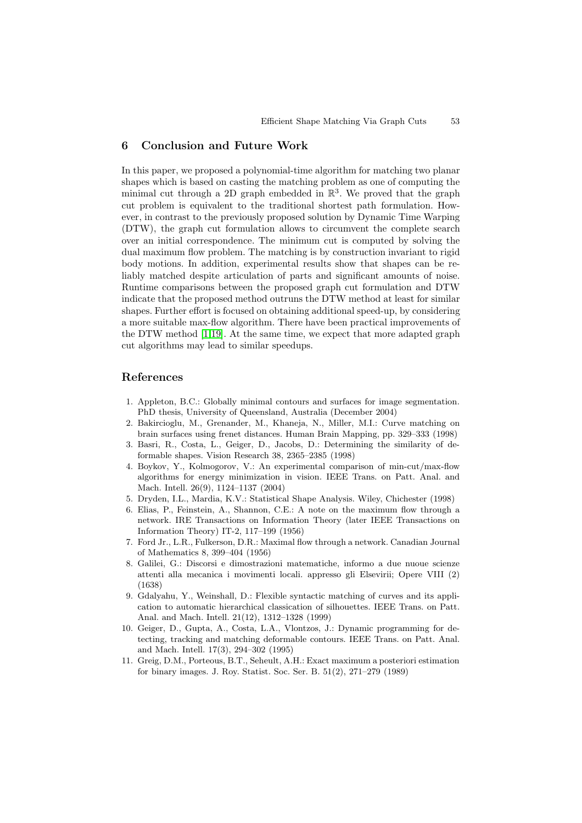## **6 Conclusion and Future Work**

In this paper, we proposed a polynomial-time algorithm for matching two planar shapes which is based on casting the matching problem as one of computing the minimal cut through a 2D graph embedded in  $\mathbb{R}^3$ . We proved that the graph cut problem is equivalent to the traditional shortest path formulation. However, in contrast to the previously proposed solution by Dynamic Time Warping (DTW), the graph cut formulation allows to circumvent the complete search over an initial correspondence. The minimum cut is computed by solving the dual maximum flow problem. The matching is by construction invariant to rigid body motions. In addition, experimental results show that shapes can be reliably matched despite articulation of parts and significant amounts of noise. Runtime comparisons between the proposed graph cut formulation and DTW indicate that the proposed method outruns the DTW method at least for similar shapes. Further effort is focused on obtaining additional speed-up, by considering a more suitable max-flow algorithm. There have been practical improvements of the DTW method [1,19]. At the same time, we expect that more adapted graph cut algorithms may lead to similar speedups.

# **References**

- 1. Appleton, B.C.: Globally minimal contours and surfaces for image segmentation. PhD thesis, University of Queensland, Australia (December 2004)
- 2. Bakircioglu, M., Grenander, M., Khaneja, N., Miller, M.I.: Curve matching on brain surfaces using frenet distances. Human Brain Mapping, pp. 329–333 (1998)
- <span id="page-14-6"></span>3. Basri, R., Costa, L., Geiger, D., Jacobs, D.: Determining the similarity of deformable shapes. Vision Research 38, 2365–2385 (1998)
- <span id="page-14-4"></span>4. Boykov, Y., Kolmogorov, V.: An experimental comparison of min-cut/max-flow algorithms for energy minimization in vision. IEEE Trans. on Patt. Anal. and Mach. Intell. 26(9), 1124–1137 (2004)
- <span id="page-14-2"></span>5. Dryden, I.L., Mardia, K.V.: Statistical Shape Analysis. Wiley, Chichester (1998)
- <span id="page-14-10"></span>6. Elias, P., Feinstein, A., Shannon, C.E.: A note on the maximum flow through a network. IRE Transactions on Information Theory (later IEEE Transactions on Information Theory) IT-2, 117–199 (1956)
- <span id="page-14-8"></span><span id="page-14-1"></span>7. Ford Jr., L.R., Fulkerson, D.R.: Maximal flow through a network. Canadian Journal of Mathematics 8, 399–404 (1956)
- 8. Galilei, G.: Discorsi e dimostrazioni matematiche, informo a due nuoue scienze attenti alla mecanica i movimenti locali. appresso gli Elsevirii; Opere VIII (2) (1638)
- <span id="page-14-9"></span><span id="page-14-0"></span>9. Gdalyahu, Y., Weinshall, D.: Flexible syntactic matching of curves and its application to automatic hierarchical classication of silhouettes. IEEE Trans. on Patt. Anal. and Mach. Intell. 21(12), 1312–1328 (1999)
- <span id="page-14-5"></span>10. Geiger, D., Gupta, A., Costa, L.A., Vlontzos, J.: Dynamic programming for detecting, tracking and matching deformable contours. IEEE Trans. on Patt. Anal. and Mach. Intell. 17(3), 294–302 (1995)
- <span id="page-14-7"></span><span id="page-14-3"></span>11. Greig, D.M., Porteous, B.T., Seheult, A.H.: Exact maximum a posteriori estimation for binary images. J. Roy. Statist. Soc. Ser. B. 51(2), 271–279 (1989)